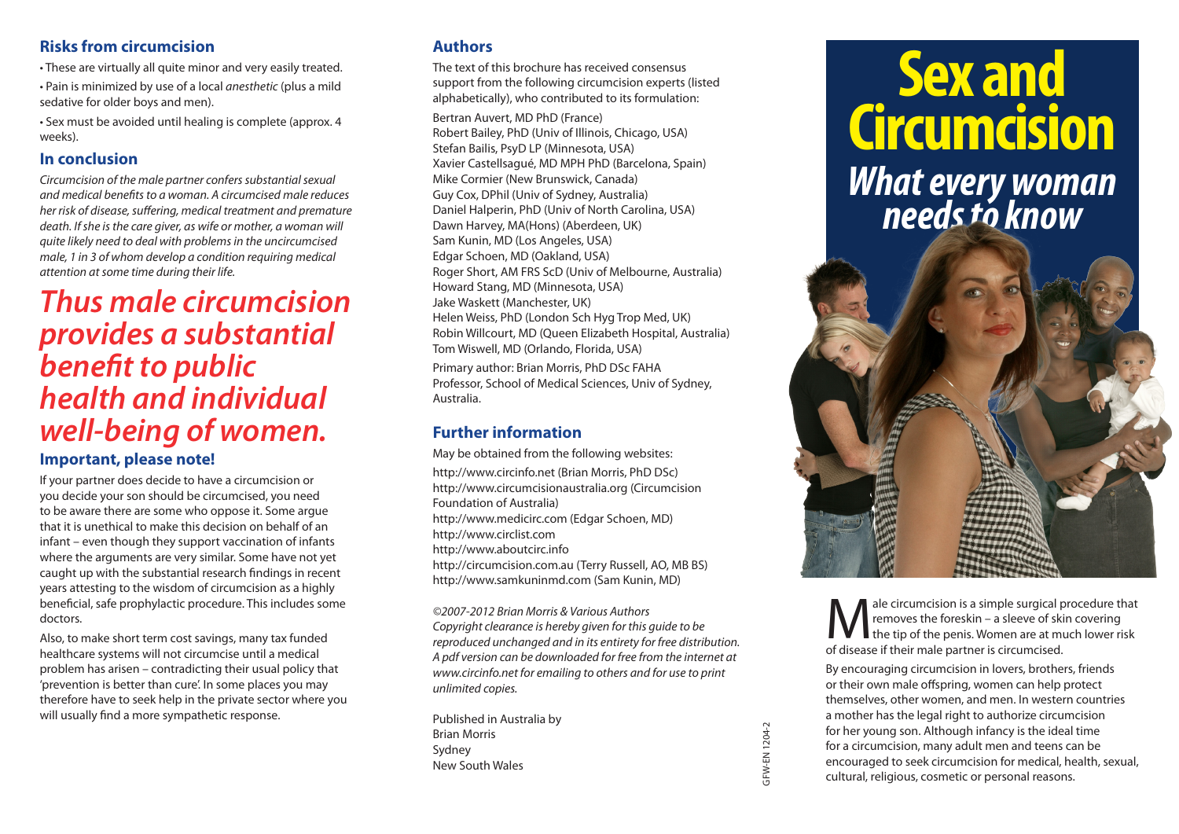### **Risks from circumcision**

• These are virtually all quite minor and very easily treated.

• Pain is minimized by use of a local *anesthetic* (plus a mild sedative for older boys and men).

• Sex must be avoided until healing is complete (approx. 4 weeks).

## **In conclusion**

*Circumcision of the male partner confers substantial sexual and medical benefits to a woman. A circumcised male reduces her risk of disease, suffering, medical treatment and premature death. If she is the care giver, as wife or mother, a woman will quite likely need to deal with problems in the uncircumcised male, 1 in 3 of whom develop a condition requiring medical attention at some time during their life.*

# *Thus male circumcision provides a substantial benefit to public health and individual well‑being of women.* **Important, please note!**

If your partner does decide to have a circumcision or you decide your son should be circumcised, you need to be aware there are some who oppose it. Some argue that it is unethical to make this decision on behalf of an infant – even though they support vaccination of infants where the arguments are very similar. Some have not yet caught up with the substantial research findings in recent years attesting to the wisdom of circumcision as a highly beneficial, safe prophylactic procedure. This includes some doctors.

Also, to make short term cost savings, many tax funded healthcare systems will not circumcise until a medical problem has arisen – contradicting their usual policy that 'prevention is better than cure'. In some places you may therefore have to seek help in the private sector where you will usually find a more sympathetic response.

# **Authors**

The text of this brochure has received consensus support from the following circumcision experts (listed alphabetically), who contributed to its formulation:

Bertran Auvert, MD PhD (France) Robert Bailey, PhD (Univ of Illinois, Chicago, USA) Stefan Bailis, PsyD LP (Minnesota, USA) Xavier Castellsagué, MD MPH PhD (Barcelona, Spain) Mike Cormier (New Brunswick, Canada) Guy Cox, DPhil (Univ of Sydney, Australia) Daniel Halperin, PhD (Univ of North Carolina, USA) Dawn Harvey, MA(Hons) (Aberdeen, UK) Sam Kunin, MD (Los Angeles, USA) Edgar Schoen, MD (Oakland, USA) Roger Short, AM FRS ScD (Univ of Melbourne, Australia) Howard Stang, MD (Minnesota, USA) Jake Waskett (Manchester, UK) Helen Weiss, PhD (London Sch Hyg Trop Med, UK) Robin Willcourt, MD (Queen Elizabeth Hospital, Australia) Tom Wiswell, MD (Orlando, Florida, USA)

Primary author: Brian Morris, PhD DSc FAHA Professor, School of Medical Sciences, Univ of Sydney, Australia.

# **Further information**

May be obtained from the following websites: http://www.circinfo.net (Brian Morris, PhD DSc) http://www.circumcisionaustralia.org (Circumcision Foundation of Australia) http://www.medicirc.com (Edgar Schoen, MD) http://www.circlist.com http://www.aboutcirc.info http://circumcision.com.au (Terry Russell, AO, MB BS) http://www.samkuninmd.com (Sam Kunin, MD)

*©2007-2012 Brian Morris & Various Authors Copyright clearance is hereby given for this guide to be reproduced unchanged and in its entirety for free distribution. A pdf version can be downloaded for free from the internet at www.circinfo.net for emailing to others and for use to print unlimited copies.*

Published in Australia by Brian Morris Sydney New South Wales

# **Sex and Circumcision** *What every woman needs to know*



ale circumcision is a simple surgical procedure that removes the foreskin – a sleeve of skin covering the tip of the penis. Women are at much lower risk of disease if their male partner is circumcised.

By encouraging circumcision in lovers, brothers, friends or their own male offspring, women can help protect themselves, other women, and men. In western countries a mother has the legal right to authorize circumcision for her young son. Although infancy is the ideal time for a circumcision, many adult men and teens can be encouraged to seek circumcision for medical, health, sexual, cultural, religious, cosmetic or personal reasons.